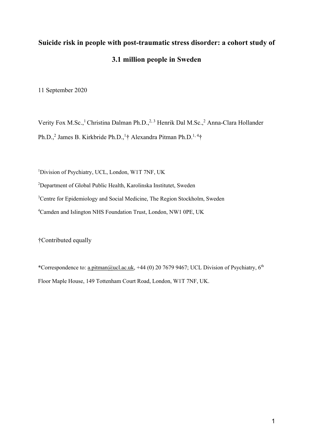# **Suicide risk in people with post-traumatic stress disorder: a cohort study of 3.1 million people in Sweden**

11 September 2020

Verity Fox M.Sc.,<sup>1</sup> Christina Dalman Ph.D.,<sup>2, 3</sup> Henrik Dal M.Sc.,<sup>2</sup> Anna-Clara Hollander Ph.D.,<sup>2</sup> James B. Kirkbride Ph.D.,<sup>1</sup>† Alexandra Pitman Ph.D.<sup>1,4</sup>†

<sup>1</sup>Division of Psychiatry, UCL, London, W1T 7NF, UK

<sup>2</sup>Department of Global Public Health, Karolinska Institutet, Sweden

<sup>3</sup>Centre for Epidemiology and Social Medicine, The Region Stockholm, Sweden

4 Camden and Islington NHS Foundation Trust, London, NW1 0PE, UK

†Contributed equally

\*Correspondence to: a.pitman@ucl.ac.uk, +44 (0) 20 7679 9467; UCL Division of Psychiatry, 6th Floor Maple House, 149 Tottenham Court Road, London, W1T 7NF, UK.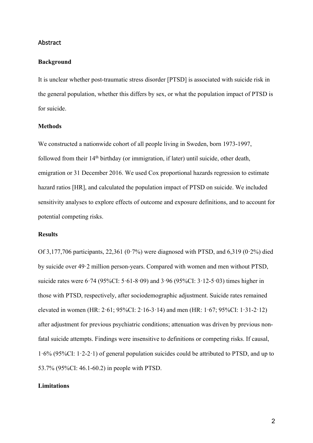#### Abstract

#### **Background**

It is unclear whether post-traumatic stress disorder [PTSD] is associated with suicide risk in the general population, whether this differs by sex, or what the population impact of PTSD is for suicide.

## **Methods**

We constructed a nationwide cohort of all people living in Sweden, born 1973-1997, followed from their  $14<sup>th</sup>$  birthday (or immigration, if later) until suicide, other death. emigration or 31 December 2016. We used Cox proportional hazards regression to estimate hazard ratios [HR], and calculated the population impact of PTSD on suicide. We included sensitivity analyses to explore effects of outcome and exposure definitions, and to account for potential competing risks.

## **Results**

Of 3,177,706 participants, 22,361 (0.7%) were diagnosed with PTSD, and 6,319 (0.2%) died by suicide over 49·2 million person-years. Compared with women and men without PTSD, suicide rates were  $6.74$  (95%CI:  $5.61 - 8.09$ ) and  $3.96$  (95%CI:  $3.12 - 5.03$ ) times higher in those with PTSD, respectively, after sociodemographic adjustment. Suicide rates remained elevated in women (HR: 2·61; 95%CI: 2·16-3·14) and men (HR: 1·67; 95%CI: 1·31-2·12) after adjustment for previous psychiatric conditions; attenuation was driven by previous nonfatal suicide attempts. Findings were insensitive to definitions or competing risks. If causal, 1·6% (95%CI: 1·2-2·1) of general population suicides could be attributed to PTSD, and up to 53.7% (95%CI: 46.1-60.2) in people with PTSD.

#### **Limitations**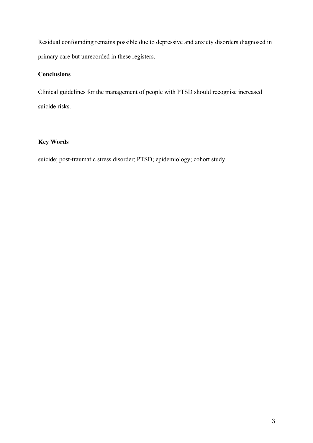Residual confounding remains possible due to depressive and anxiety disorders diagnosed in primary care but unrecorded in these registers.

# **Conclusions**

Clinical guidelines for the management of people with PTSD should recognise increased suicide risks.

## **Key Words**

suicide; post-traumatic stress disorder; PTSD; epidemiology; cohort study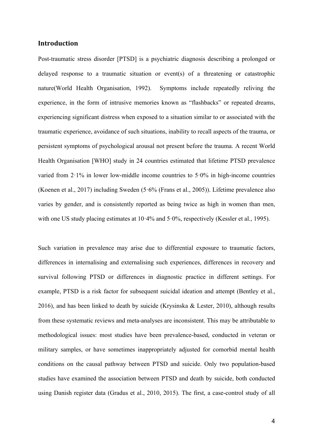## **Introduction**

Post-traumatic stress disorder [PTSD] is a psychiatric diagnosis describing a prolonged or delayed response to a traumatic situation or event(s) of a threatening or catastrophic nature(World Health Organisation, 1992). Symptoms include repeatedly reliving the experience, in the form of intrusive memories known as "flashbacks" or repeated dreams, experiencing significant distress when exposed to a situation similar to or associated with the traumatic experience, avoidance of such situations, inability to recall aspects of the trauma, or persistent symptoms of psychological arousal not present before the trauma. A recent World Health Organisation [WHO] study in 24 countries estimated that lifetime PTSD prevalence varied from  $2.1\%$  in lower low-middle income countries to  $5.0\%$  in high-income countries (Koenen et al., 2017) including Sweden (5·6% (Frans et al., 2005)). Lifetime prevalence also varies by gender, and is consistently reported as being twice as high in women than men, with one US study placing estimates at 10.4% and 5.0%, respectively (Kessler et al., 1995).

Such variation in prevalence may arise due to differential exposure to traumatic factors, differences in internalising and externalising such experiences, differences in recovery and survival following PTSD or differences in diagnostic practice in different settings. For example, PTSD is a risk factor for subsequent suicidal ideation and attempt (Bentley et al., 2016), and has been linked to death by suicide (Krysinska & Lester, 2010), although results from these systematic reviews and meta-analyses are inconsistent. This may be attributable to methodological issues: most studies have been prevalence-based, conducted in veteran or military samples, or have sometimes inappropriately adjusted for comorbid mental health conditions on the causal pathway between PTSD and suicide. Only two population-based studies have examined the association between PTSD and death by suicide, both conducted using Danish register data (Gradus et al., 2010, 2015). The first, a case-control study of all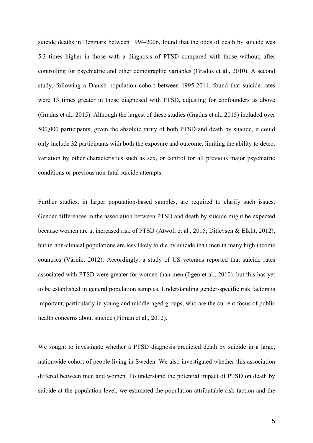suicide deaths in Denmark between 1994-2006, found that the odds of death by suicide was 5.3 times higher in those with a diagnosis of PTSD compared with those without, after controlling for psychiatric and other demographic variables (Gradus et al., 2010). A second study, following a Danish population cohort between 1995-2011, found that suicide rates were 13 times greater in those diagnosed with PTSD, adjusting for confounders as above (Gradus et al., 2015). Although the largest of these studies (Gradus et al., 2015) included over 500,000 participants, given the absolute rarity of both PTSD and death by suicide, it could only include 32 participants with both the exposure and outcome, limiting the ability to detect variation by other characteristics such as sex, or control for all previous major psychiatric conditions or previous non-fatal suicide attempts.

Further studies, in larger population-based samples, are required to clarify such issues. Gender differences in the association between PTSD and death by suicide might be expected because women are at increased risk of PTSD (Atwoli et al., 2015; Ditlevsen & Elklit, 2012), but in non-clinical populations are less likely to die by suicide than men in many high income countries (Värnik, 2012). Accordingly, a study of US veterans reported that suicide rates associated with PTSD were greater for women than men (Ilgen et al., 2010), but this has yet to be established in general population samples. Understanding gender-specific risk factors is important, particularly in young and middle-aged groups, who are the current focus of public health concerns about suicide (Pitman et al., 2012).

We sought to investigate whether a PTSD diagnosis predicted death by suicide in a large, nationwide cohort of people living in Sweden. We also investigated whether this association differed between men and women. To understand the potential impact of PTSD on death by suicide at the population level, we estimated the population attributable risk faction and the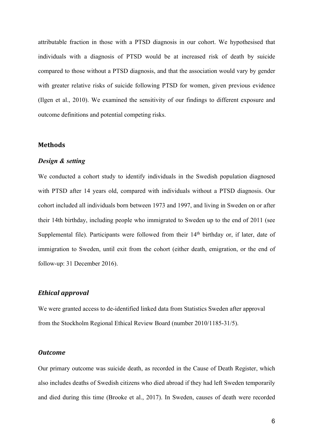attributable fraction in those with a PTSD diagnosis in our cohort. We hypothesised that individuals with a diagnosis of PTSD would be at increased risk of death by suicide compared to those without a PTSD diagnosis, and that the association would vary by gender with greater relative risks of suicide following PTSD for women, given previous evidence (Ilgen et al., 2010). We examined the sensitivity of our findings to different exposure and outcome definitions and potential competing risks.

#### **Methods**

#### *Design & setting*

We conducted a cohort study to identify individuals in the Swedish population diagnosed with PTSD after 14 years old, compared with individuals without a PTSD diagnosis. Our cohort included all individuals born between 1973 and 1997, and living in Sweden on or after their 14th birthday, including people who immigrated to Sweden up to the end of 2011 (see Supplemental file). Participants were followed from their  $14<sup>th</sup>$  birthday or, if later, date of immigration to Sweden, until exit from the cohort (either death, emigration, or the end of follow-up: 31 December 2016).

## *Ethical approval*

We were granted access to de-identified linked data from Statistics Sweden after approval from the Stockholm Regional Ethical Review Board (number 2010/1185-31/5).

#### *Outcome*

Our primary outcome was suicide death, as recorded in the Cause of Death Register, which also includes deaths of Swedish citizens who died abroad if they had left Sweden temporarily and died during this time (Brooke et al., 2017). In Sweden, causes of death were recorded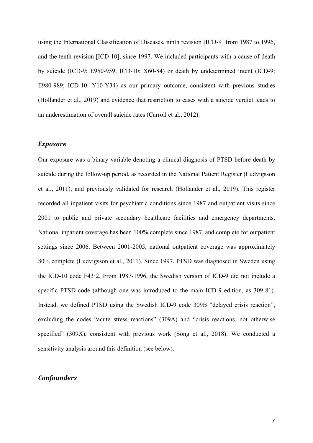using the International Classification of Diseases, ninth revision [ICD-9] from 1987 to 1996, and the tenth revision [ICD-10], since 1997. We included participants with a cause of death by suicide (ICD-9: E950-959; ICD-10: X60-84) or death by undetermined intent (ICD-9: E980-989; ICD-10: Y10-Y34) as our primary outcome, consistent with previous studies (Hollander et al., 2019) and evidence that restriction to cases with a suicide verdict leads to an underestimation of overall suicide rates (Carroll et al., 2012).

#### *Exposure*

Our exposure was a binary variable denoting a clinical diagnosis of PTSD before death by suicide during the follow-up period, as recorded in the National Patient Register (Ludvigsson et al., 2011), and previously validated for research (Hollander et al., 2019). This register recorded all inpatient visits for psychiatric conditions since 1987 and outpatient visits since 2001 to public and private secondary healthcare facilities and emergency departments. National inpatient coverage has been 100% complete since 1987, and complete for outpatient settings since 2006. Between 2001-2005, national outpatient coverage was approximately 80% complete (Ludvigsson et al., 2011). Since 1997, PTSD was diagnosed in Sweden using the ICD-10 code F43·2. From 1987-1996, the Swedish version of ICD-9 did not include a specific PTSD code (although one was introduced to the main ICD-9 edition, as 309·81). Instead, we defined PTSD using the Swedish ICD-9 code 309B "delayed crisis reaction", excluding the codes "acute stress reactions" (309A) and "crisis reactions, not otherwise specified" (309X), consistent with previous work (Song et al., 2018). We conducted a sensitivity analysis around this definition (see below).

## *Confounders*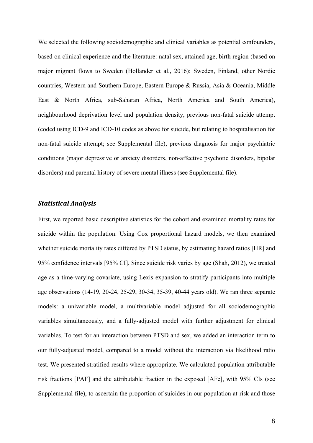We selected the following sociodemographic and clinical variables as potential confounders, based on clinical experience and the literature: natal sex, attained age, birth region (based on major migrant flows to Sweden (Hollander et al., 2016): Sweden, Finland, other Nordic countries, Western and Southern Europe, Eastern Europe & Russia, Asia & Oceania, Middle East & North Africa, sub-Saharan Africa, North America and South America), neighbourhood deprivation level and population density, previous non-fatal suicide attempt (coded using ICD-9 and ICD-10 codes as above for suicide, but relating to hospitalisation for non-fatal suicide attempt; see Supplemental file), previous diagnosis for major psychiatric conditions (major depressive or anxiety disorders, non-affective psychotic disorders, bipolar disorders) and parental history of severe mental illness (see Supplemental file).

## *Statistical Analysis*

First, we reported basic descriptive statistics for the cohort and examined mortality rates for suicide within the population. Using Cox proportional hazard models, we then examined whether suicide mortality rates differed by PTSD status, by estimating hazard ratios [HR] and 95% confidence intervals [95% CI]. Since suicide risk varies by age (Shah, 2012), we treated age as a time-varying covariate, using Lexis expansion to stratify participants into multiple age observations (14-19, 20-24, 25-29, 30-34, 35-39, 40-44 years old). We ran three separate models: a univariable model, a multivariable model adjusted for all sociodemographic variables simultaneously, and a fully-adjusted model with further adjustment for clinical variables. To test for an interaction between PTSD and sex, we added an interaction term to our fully-adjusted model, compared to a model without the interaction via likelihood ratio test. We presented stratified results where appropriate. We calculated population attributable risk fractions [PAF] and the attributable fraction in the exposed [AFe], with 95% CIs (see Supplemental file), to ascertain the proportion of suicides in our population at-risk and those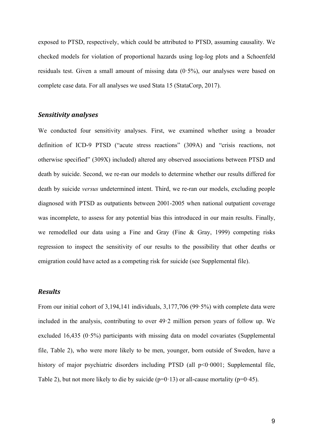exposed to PTSD, respectively, which could be attributed to PTSD, assuming causality. We checked models for violation of proportional hazards using log-log plots and a Schoenfeld residuals test. Given a small amount of missing data  $(0.5\%)$ , our analyses were based on complete case data. For all analyses we used Stata 15 (StataCorp, 2017).

#### *Sensitivity analyses*

We conducted four sensitivity analyses. First, we examined whether using a broader definition of ICD-9 PTSD ("acute stress reactions" (309A) and "crisis reactions, not otherwise specified" (309X) included) altered any observed associations between PTSD and death by suicide. Second, we re-ran our models to determine whether our results differed for death by suicide *versus* undetermined intent. Third, we re-ran our models, excluding people diagnosed with PTSD as outpatients between 2001-2005 when national outpatient coverage was incomplete, to assess for any potential bias this introduced in our main results. Finally, we remodelled our data using a Fine and Gray (Fine & Gray, 1999) competing risks regression to inspect the sensitivity of our results to the possibility that other deaths or emigration could have acted as a competing risk for suicide (see Supplemental file).

## *Results*

From our initial cohort of 3,194,141 individuals, 3,177,706 (99.5%) with complete data were included in the analysis, contributing to over 49·2 million person years of follow up. We excluded 16,435 ( $0.5\%$ ) participants with missing data on model covariates (Supplemental file, Table 2), who were more likely to be men, younger, born outside of Sweden, have a history of major psychiatric disorders including PTSD (all  $p<0.0001$ ; Supplemental file, Table 2), but not more likely to die by suicide ( $p=0.13$ ) or all-cause mortality ( $p=0.45$ ).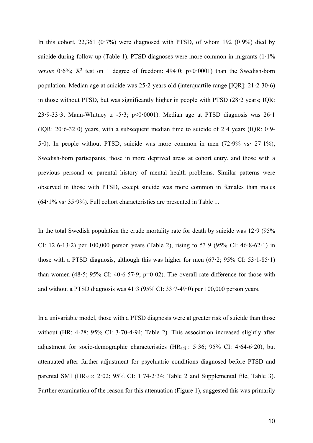In this cohort,  $22,361$  (0.7%) were diagnosed with PTSD, of whom 192 (0.9%) died by suicide during follow up (Table 1). PTSD diagnoses were more common in migrants  $(1.1\%$ *versus*  $0.6\%$ ;  $X^2$  test on 1 degree of freedom:  $494.0$ ;  $p<0.0001$ ) than the Swedish-born population. Median age at suicide was  $25.2$  years old (interquartile range [IQR]:  $21.2-30.6$ ) in those without PTSD, but was significantly higher in people with PTSD (28·2 years; IQR: 23.9-33.3; Mann-Whitney  $z=5.3$ ;  $p<0.0001$ ). Median age at PTSD diagnosis was  $26.1$ (IQR: 20·6-32·0) years, with a subsequent median time to suicide of 2·4 years (IQR: 0·9- 5·0). In people without PTSD, suicide was more common in men (72·9% vs· 27·1%), Swedish-born participants, those in more deprived areas at cohort entry, and those with a previous personal or parental history of mental health problems. Similar patterns were observed in those with PTSD, except suicide was more common in females than males  $(64.1\% \text{ vs. } 35.9\%)$ . Full cohort characteristics are presented in Table 1.

In the total Swedish population the crude mortality rate for death by suicide was  $12.9$  (95%) CI: 12.6-13.2) per 100,000 person years (Table 2), rising to 53.9 (95% CI:  $46.8-62.1$ ) in those with a PTSD diagnosis, although this was higher for men  $(67.2; 95\% \text{ CI: } 53.1-85.1)$ than women (48.5; 95% CI: 40.6-57.9;  $p=0.02$ ). The overall rate difference for those with and without a PTSD diagnosis was  $41.3$  (95% CI:  $33.7-49.0$ ) per 100,000 person years.

In a univariable model, those with a PTSD diagnosis were at greater risk of suicide than those without (HR: 4·28; 95% CI: 3·70-4·94; Table 2). This association increased slightly after adjustment for socio-demographic characteristics ( $HR_{\text{adj1}}$ : 5.36; 95% CI: 4.64-6.20), but attenuated after further adjustment for psychiatric conditions diagnosed before PTSD and parental SMI (HR<sub>adj2</sub>: 2·02; 95% CI: 1·74-2·34; Table 2 and Supplemental file, Table 3). Further examination of the reason for this attenuation (Figure 1), suggested this was primarily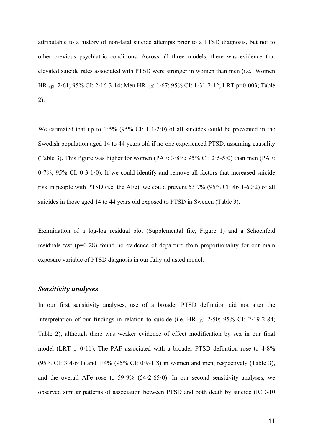attributable to a history of non-fatal suicide attempts prior to a PTSD diagnosis, but not to other previous psychiatric conditions. Across all three models, there was evidence that elevated suicide rates associated with PTSD were stronger in women than men (i.e. Women HRadj2: 2·61; 95% CI: 2·16-3·14; Men HRadj2: 1·67; 95% CI: 1·31-2·12; LRT p=0·003; Table 2).

We estimated that up to  $1.5\%$  (95% CI:  $1.1-2.0$ ) of all suicides could be prevented in the Swedish population aged 14 to 44 years old if no one experienced PTSD, assuming causality (Table 3). This figure was higher for women (PAF: 3·8%; 95% CI: 2·5-5·0) than men (PAF: 0·7%; 95% CI: 0·3-1·0). If we could identify and remove all factors that increased suicide risk in people with PTSD (i.e. the AFe), we could prevent  $53.7\%$  (95% CI: 46.1-60.2) of all suicides in those aged 14 to 44 years old exposed to PTSD in Sweden (Table 3).

Examination of a log-log residual plot (Supplemental file, Figure 1) and a Schoenfeld residuals test ( $p=0.28$ ) found no evidence of departure from proportionality for our main exposure variable of PTSD diagnosis in our fully-adjusted model.

#### *Sensitivity analyses*

In our first sensitivity analyses, use of a broader PTSD definition did not alter the interpretation of our findings in relation to suicide (i.e.  $HR_{\text{adi}2}: 2.50; 95\% \text{ CI}: 2.19-2.84;$ Table 2), although there was weaker evidence of effect modification by sex in our final model (LRT p= $0.11$ ). The PAF associated with a broader PTSD definition rose to  $4.8\%$ (95% CI:  $3.4-6.1$ ) and  $1.4\%$  (95% CI: 0.9-1.8) in women and men, respectively (Table 3), and the overall AFe rose to  $59.9\%$  (54.2-65.0). In our second sensitivity analyses, we observed similar patterns of association between PTSD and both death by suicide (ICD-10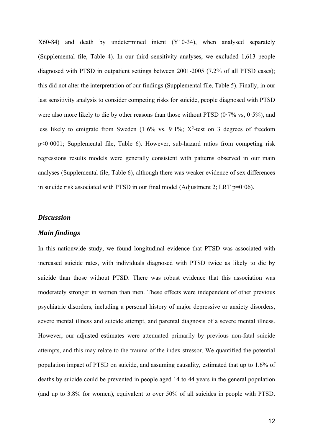X60-84) and death by undetermined intent (Y10-34), when analysed separately (Supplemental file, Table 4). In our third sensitivity analyses, we excluded 1,613 people diagnosed with PTSD in outpatient settings between 2001-2005 (7.2% of all PTSD cases); this did not alter the interpretation of our findings (Supplemental file, Table 5). Finally, in our last sensitivity analysis to consider competing risks for suicide, people diagnosed with PTSD were also more likely to die by other reasons than those without PTSD  $(0.7\% \text{ vs. } 0.5\%)$ , and less likely to emigrate from Sweden  $(1.6\%$  vs.  $9.1\%$ ; X<sup>2</sup>-test on 3 degrees of freedom p<0·0001; Supplemental file, Table 6). However, sub-hazard ratios from competing risk regressions results models were generally consistent with patterns observed in our main analyses (Supplemental file, Table 6), although there was weaker evidence of sex differences in suicide risk associated with PTSD in our final model (Adjustment 2; LRT  $p=0.06$ ).

## *Discussion*

## *Main findings*

In this nationwide study, we found longitudinal evidence that PTSD was associated with increased suicide rates, with individuals diagnosed with PTSD twice as likely to die by suicide than those without PTSD. There was robust evidence that this association was moderately stronger in women than men. These effects were independent of other previous psychiatric disorders, including a personal history of major depressive or anxiety disorders, severe mental illness and suicide attempt, and parental diagnosis of a severe mental illness. However, our adjusted estimates were attenuated primarily by previous non-fatal suicide attempts, and this may relate to the trauma of the index stressor. We quantified the potential population impact of PTSD on suicide, and assuming causality, estimated that up to 1.6% of deaths by suicide could be prevented in people aged 14 to 44 years in the general population (and up to 3.8% for women), equivalent to over 50% of all suicides in people with PTSD.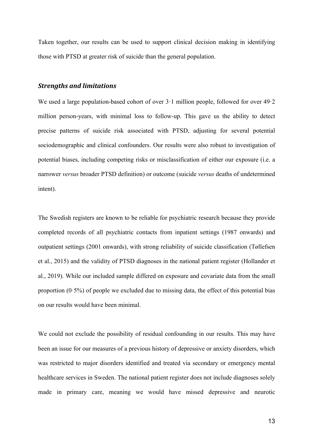Taken together, our results can be used to support clinical decision making in identifying those with PTSD at greater risk of suicide than the general population.

## *Strengths and limitations*

We used a large population-based cohort of over  $3 \cdot 1$  million people, followed for over  $49 \cdot 2$ million person-years, with minimal loss to follow-up. This gave us the ability to detect precise patterns of suicide risk associated with PTSD, adjusting for several potential sociodemographic and clinical confounders. Our results were also robust to investigation of potential biases, including competing risks or misclassification of either our exposure (i.e. a narrower *versus* broader PTSD definition) or outcome (suicide *versus* deaths of undetermined intent).

The Swedish registers are known to be reliable for psychiatric research because they provide completed records of all psychiatric contacts from inpatient settings (1987 onwards) and outpatient settings (2001 onwards), with strong reliability of suicide classification (Tøllefsen et al., 2015) and the validity of PTSD diagnoses in the national patient register (Hollander et al., 2019). While our included sample differed on exposure and covariate data from the small proportion  $(0.5\%)$  of people we excluded due to missing data, the effect of this potential bias on our results would have been minimal.

We could not exclude the possibility of residual confounding in our results. This may have been an issue for our measures of a previous history of depressive or anxiety disorders, which was restricted to major disorders identified and treated via secondary or emergency mental healthcare services in Sweden. The national patient register does not include diagnoses solely made in primary care, meaning we would have missed depressive and neurotic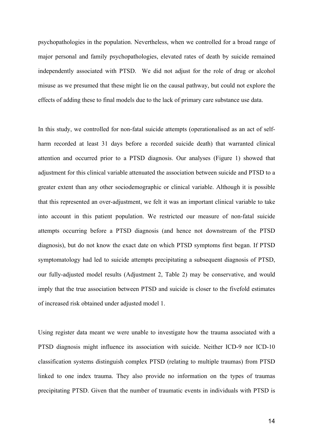psychopathologies in the population. Nevertheless, when we controlled for a broad range of major personal and family psychopathologies, elevated rates of death by suicide remained independently associated with PTSD. We did not adjust for the role of drug or alcohol misuse as we presumed that these might lie on the causal pathway, but could not explore the effects of adding these to final models due to the lack of primary care substance use data.

In this study, we controlled for non-fatal suicide attempts (operationalised as an act of selfharm recorded at least 31 days before a recorded suicide death) that warranted clinical attention and occurred prior to a PTSD diagnosis. Our analyses (Figure 1) showed that adjustment for this clinical variable attenuated the association between suicide and PTSD to a greater extent than any other sociodemographic or clinical variable. Although it is possible that this represented an over-adjustment, we felt it was an important clinical variable to take into account in this patient population. We restricted our measure of non-fatal suicide attempts occurring before a PTSD diagnosis (and hence not downstream of the PTSD diagnosis), but do not know the exact date on which PTSD symptoms first began. If PTSD symptomatology had led to suicide attempts precipitating a subsequent diagnosis of PTSD, our fully-adjusted model results (Adjustment 2, Table 2) may be conservative, and would imply that the true association between PTSD and suicide is closer to the fivefold estimates of increased risk obtained under adjusted model 1.

Using register data meant we were unable to investigate how the trauma associated with a PTSD diagnosis might influence its association with suicide. Neither ICD-9 nor ICD-10 classification systems distinguish complex PTSD (relating to multiple traumas) from PTSD linked to one index trauma. They also provide no information on the types of traumas precipitating PTSD. Given that the number of traumatic events in individuals with PTSD is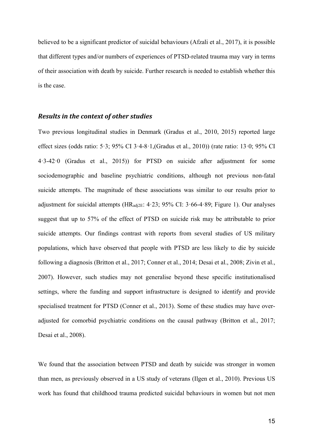believed to be a significant predictor of suicidal behaviours (Afzali et al., 2017), it is possible that different types and/or numbers of experiences of PTSD-related trauma may vary in terms of their association with death by suicide. Further research is needed to establish whether this is the case.

#### **Results** in the context of other studies

Two previous longitudinal studies in Denmark (Gradus et al., 2010, 2015) reported large effect sizes (odds ratio: 5·3; 95% CI 3·4-8·1,(Gradus et al., 2010)) (rate ratio: 13·0; 95% CI 4·3-42·0 (Gradus et al., 2015)) for PTSD on suicide after adjustment for some sociodemographic and baseline psychiatric conditions, although not previous non-fatal suicide attempts. The magnitude of these associations was similar to our results prior to adjustment for suicidal attempts ( $HR_{\text{adi2E}}$ : 4·23; 95% CI: 3·66-4·89; Figure 1). Our analyses suggest that up to 57% of the effect of PTSD on suicide risk may be attributable to prior suicide attempts. Our findings contrast with reports from several studies of US military populations, which have observed that people with PTSD are less likely to die by suicide following a diagnosis (Britton et al., 2017; Conner et al., 2014; Desai et al., 2008; Zivin et al., 2007). However, such studies may not generalise beyond these specific institutionalised settings, where the funding and support infrastructure is designed to identify and provide specialised treatment for PTSD (Conner et al., 2013). Some of these studies may have overadjusted for comorbid psychiatric conditions on the causal pathway (Britton et al., 2017; Desai et al., 2008).

We found that the association between PTSD and death by suicide was stronger in women than men, as previously observed in a US study of veterans (Ilgen et al., 2010). Previous US work has found that childhood trauma predicted suicidal behaviours in women but not men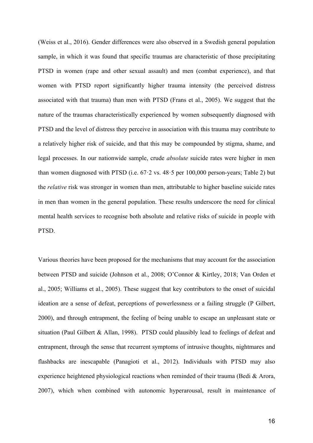(Weiss et al., 2016). Gender differences were also observed in a Swedish general population sample, in which it was found that specific traumas are characteristic of those precipitating PTSD in women (rape and other sexual assault) and men (combat experience), and that women with PTSD report significantly higher trauma intensity (the perceived distress associated with that trauma) than men with PTSD (Frans et al., 2005). We suggest that the nature of the traumas characteristically experienced by women subsequently diagnosed with PTSD and the level of distress they perceive in association with this trauma may contribute to a relatively higher risk of suicide, and that this may be compounded by stigma, shame, and legal processes. In our nationwide sample, crude *absolute* suicide rates were higher in men than women diagnosed with PTSD (i.e.  $67.2$  vs.  $48.5$  per  $100,000$  person-years; Table 2) but the *relative* risk was stronger in women than men, attributable to higher baseline suicide rates in men than women in the general population. These results underscore the need for clinical mental health services to recognise both absolute and relative risks of suicide in people with PTSD.

Various theories have been proposed for the mechanisms that may account for the association between PTSD and suicide (Johnson et al., 2008; O'Connor & Kirtley, 2018; Van Orden et al., 2005; Williams et al., 2005). These suggest that key contributors to the onset of suicidal ideation are a sense of defeat, perceptions of powerlessness or a failing struggle (P Gilbert, 2000), and through entrapment, the feeling of being unable to escape an unpleasant state or situation (Paul Gilbert & Allan, 1998). PTSD could plausibly lead to feelings of defeat and entrapment, through the sense that recurrent symptoms of intrusive thoughts, nightmares and flashbacks are inescapable (Panagioti et al., 2012). Individuals with PTSD may also experience heightened physiological reactions when reminded of their trauma (Bedi & Arora, 2007), which when combined with autonomic hyperarousal, result in maintenance of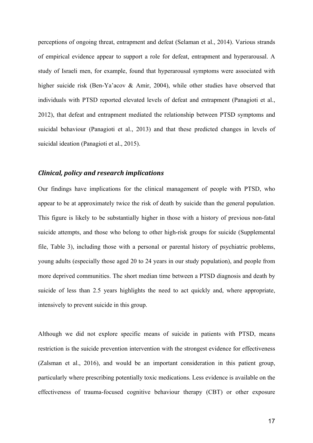perceptions of ongoing threat, entrapment and defeat (Selaman et al., 2014). Various strands of empirical evidence appear to support a role for defeat, entrapment and hyperarousal. A study of Israeli men, for example, found that hyperarousal symptoms were associated with higher suicide risk (Ben-Ya'acov & Amir, 2004), while other studies have observed that individuals with PTSD reported elevated levels of defeat and entrapment (Panagioti et al., 2012), that defeat and entrapment mediated the relationship between PTSD symptoms and suicidal behaviour (Panagioti et al., 2013) and that these predicted changes in levels of suicidal ideation (Panagioti et al., 2015).

## *Clinical, policy and research implications*

Our findings have implications for the clinical management of people with PTSD, who appear to be at approximately twice the risk of death by suicide than the general population. This figure is likely to be substantially higher in those with a history of previous non-fatal suicide attempts, and those who belong to other high-risk groups for suicide (Supplemental file, Table 3), including those with a personal or parental history of psychiatric problems, young adults (especially those aged 20 to 24 years in our study population), and people from more deprived communities. The short median time between a PTSD diagnosis and death by suicide of less than 2.5 years highlights the need to act quickly and, where appropriate, intensively to prevent suicide in this group.

Although we did not explore specific means of suicide in patients with PTSD, means restriction is the suicide prevention intervention with the strongest evidence for effectiveness (Zalsman et al., 2016), and would be an important consideration in this patient group, particularly where prescribing potentially toxic medications. Less evidence is available on the effectiveness of trauma-focused cognitive behaviour therapy (CBT) or other exposure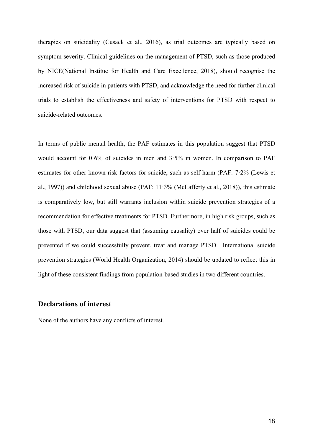therapies on suicidality (Cusack et al., 2016), as trial outcomes are typically based on symptom severity. Clinical guidelines on the management of PTSD, such as those produced by NICE(National Institue for Health and Care Excellence, 2018), should recognise the increased risk of suicide in patients with PTSD, and acknowledge the need for further clinical trials to establish the effectiveness and safety of interventions for PTSD with respect to suicide-related outcomes.

In terms of public mental health, the PAF estimates in this population suggest that PTSD would account for 0·6% of suicides in men and 3·5% in women. In comparison to PAF estimates for other known risk factors for suicide, such as self-harm (PAF: 7·2% (Lewis et al., 1997)) and childhood sexual abuse (PAF:  $11·3%$  (McLafferty et al., 2018)), this estimate is comparatively low, but still warrants inclusion within suicide prevention strategies of a recommendation for effective treatments for PTSD. Furthermore, in high risk groups, such as those with PTSD, our data suggest that (assuming causality) over half of suicides could be prevented if we could successfully prevent, treat and manage PTSD. International suicide prevention strategies (World Health Organization, 2014) should be updated to reflect this in light of these consistent findings from population-based studies in two different countries.

## **Declarations of interest**

None of the authors have any conflicts of interest.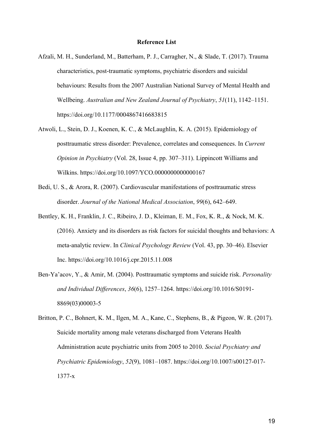#### **Reference List**

- Afzali, M. H., Sunderland, M., Batterham, P. J., Carragher, N., & Slade, T. (2017). Trauma characteristics, post-traumatic symptoms, psychiatric disorders and suicidal behaviours: Results from the 2007 Australian National Survey of Mental Health and Wellbeing. *Australian and New Zealand Journal of Psychiatry*, *51*(11), 1142–1151. https://doi.org/10.1177/0004867416683815
- Atwoli, L., Stein, D. J., Koenen, K. C., & McLaughlin, K. A. (2015). Epidemiology of posttraumatic stress disorder: Prevalence, correlates and consequences. In *Current Opinion in Psychiatry* (Vol. 28, Issue 4, pp. 307–311). Lippincott Williams and Wilkins. https://doi.org/10.1097/YCO.0000000000000167
- Bedi, U. S., & Arora, R. (2007). Cardiovascular manifestations of posttraumatic stress disorder. *Journal of the National Medical Association*, *99*(6), 642–649.
- Bentley, K. H., Franklin, J. C., Ribeiro, J. D., Kleiman, E. M., Fox, K. R., & Nock, M. K. (2016). Anxiety and its disorders as risk factors for suicidal thoughts and behaviors: A meta-analytic review. In *Clinical Psychology Review* (Vol. 43, pp. 30–46). Elsevier Inc. https://doi.org/10.1016/j.cpr.2015.11.008
- Ben-Ya'acov, Y., & Amir, M. (2004). Posttraumatic symptoms and suicide risk. *Personality and Individual Differences*, *36*(6), 1257–1264. https://doi.org/10.1016/S0191- 8869(03)00003-5
- Britton, P. C., Bohnert, K. M., Ilgen, M. A., Kane, C., Stephens, B., & Pigeon, W. R. (2017). Suicide mortality among male veterans discharged from Veterans Health Administration acute psychiatric units from 2005 to 2010. *Social Psychiatry and Psychiatric Epidemiology*, *52*(9), 1081–1087. https://doi.org/10.1007/s00127-017- 1377-x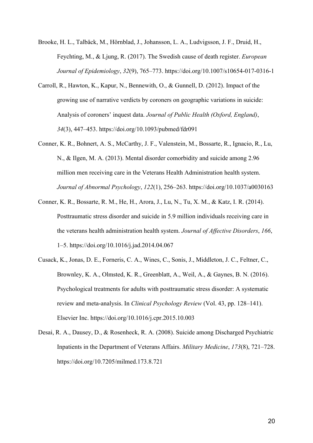Brooke, H. L., Talbäck, M., Hörnblad, J., Johansson, L. A., Ludvigsson, J. F., Druid, H., Feychting, M., & Ljung, R. (2017). The Swedish cause of death register. *European Journal of Epidemiology*, *32*(9), 765–773. https://doi.org/10.1007/s10654-017-0316-1

- Carroll, R., Hawton, K., Kapur, N., Bennewith, O., & Gunnell, D. (2012). Impact of the growing use of narrative verdicts by coroners on geographic variations in suicide: Analysis of coroners' inquest data. *Journal of Public Health (Oxford, England)*, *34*(3), 447–453. https://doi.org/10.1093/pubmed/fdr091
- Conner, K. R., Bohnert, A. S., McCarthy, J. F., Valenstein, M., Bossarte, R., Ignacio, R., Lu, N., & Ilgen, M. A. (2013). Mental disorder comorbidity and suicide among 2.96 million men receiving care in the Veterans Health Administration health system. *Journal of Abnormal Psychology*, *122*(1), 256–263. https://doi.org/10.1037/a0030163
- Conner, K. R., Bossarte, R. M., He, H., Arora, J., Lu, N., Tu, X. M., & Katz, I. R. (2014). Posttraumatic stress disorder and suicide in 5.9 million individuals receiving care in the veterans health administration health system. *Journal of Affective Disorders*, *166*, 1–5. https://doi.org/10.1016/j.jad.2014.04.067
- Cusack, K., Jonas, D. E., Forneris, C. A., Wines, C., Sonis, J., Middleton, J. C., Feltner, C., Brownley, K. A., Olmsted, K. R., Greenblatt, A., Weil, A., & Gaynes, B. N. (2016). Psychological treatments for adults with posttraumatic stress disorder: A systematic review and meta-analysis. In *Clinical Psychology Review* (Vol. 43, pp. 128–141). Elsevier Inc. https://doi.org/10.1016/j.cpr.2015.10.003
- Desai, R. A., Dausey, D., & Rosenheck, R. A. (2008). Suicide among Discharged Psychiatric Inpatients in the Department of Veterans Affairs. *Military Medicine*, *173*(8), 721–728. https://doi.org/10.7205/milmed.173.8.721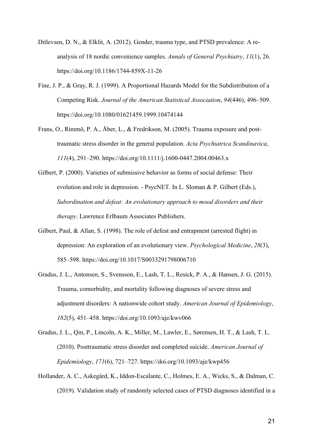- Ditlevsen, D. N., & Elklit, A. (2012). Gender, trauma type, and PTSD prevalence: A reanalysis of 18 nordic convenience samples. *Annals of General Psychiatry*, *11*(1), 26. https://doi.org/10.1186/1744-859X-11-26
- Fine, J. P., & Gray, R. J. (1999). A Proportional Hazards Model for the Subdistribution of a Competing Risk. *Journal of the American Statistical Association*, *94*(446), 496–509. https://doi.org/10.1080/01621459.1999.10474144
- Frans, O., Rimmö, P. A., Åber, L., & Fredrikson, M. (2005). Trauma exposure and posttraumatic stress disorder in the general population. *Acta Psychiatrica Scandinavica*, *111*(4), 291–290. https://doi.org/10.1111/j.1600-0447.2004.00463.x
- Gilbert, P. (2000). Varieties of submissive behavior as forms of social defense: Their evolution and role in depression. - PsycNET. In L. Sloman & P. Gilbert (Eds.), *Subordination and defeat: An evolutionary approach to mood disorders and their therapy*. Lawrence Erlbaum Associates Publishers.
- Gilbert, Paul, & Allan, S. (1998). The role of defeat and entrapment (arrested flight) in depression: An exploration of an evolutionary view. *Psychological Medicine*, *28*(3), 585–598. https://doi.org/10.1017/S0033291798006710
- Gradus, J. L., Antonsen, S., Svensson, E., Lash, T. L., Resick, P. A., & Hansen, J. G. (2015). Trauma, comorbidity, and mortality following diagnoses of severe stress and adjustment disorders: A nationwide cohort study. *American Journal of Epidemiology*, *182*(5), 451–458. https://doi.org/10.1093/aje/kwv066
- Gradus, J. L., Qin, P., Lincoln, A. K., Miller, M., Lawler, E., Sørensen, H. T., & Lash, T. L. (2010). Posttraumatic stress disorder and completed suicide. *American Journal of Epidemiology*, *171*(6), 721–727. https://doi.org/10.1093/aje/kwp456
- Hollander, A. C., Askegård, K., Iddon-Escalante, C., Holmes, E. A., Wicks, S., & Dalman, C. (2019). Validation study of randomly selected cases of PTSD diagnoses identified in a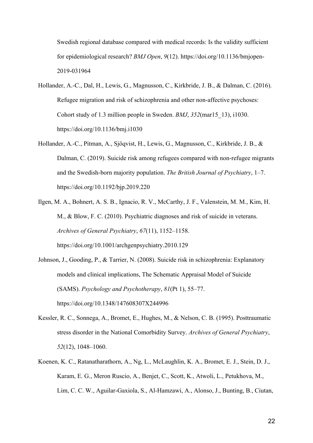Swedish regional database compared with medical records: Is the validity sufficient for epidemiological research? *BMJ Open*, *9*(12). https://doi.org/10.1136/bmjopen-2019-031964

- Hollander, A.-C., Dal, H., Lewis, G., Magnusson, C., Kirkbride, J. B., & Dalman, C. (2016). Refugee migration and risk of schizophrenia and other non-affective psychoses: Cohort study of 1.3 million people in Sweden. *BMJ*, *352*(mar15\_13), i1030. https://doi.org/10.1136/bmj.i1030
- Hollander, A.-C., Pitman, A., Sjöqvist, H., Lewis, G., Magnusson, C., Kirkbride, J. B., & Dalman, C. (2019). Suicide risk among refugees compared with non-refugee migrants and the Swedish-born majority population. *The British Journal of Psychiatry*, 1–7. https://doi.org/10.1192/bjp.2019.220
- Ilgen, M. A., Bohnert, A. S. B., Ignacio, R. V., McCarthy, J. F., Valenstein, M. M., Kim, H. M., & Blow, F. C. (2010). Psychiatric diagnoses and risk of suicide in veterans. *Archives of General Psychiatry*, *67*(11), 1152–1158. https://doi.org/10.1001/archgenpsychiatry.2010.129
- Johnson, J., Gooding, P., & Tarrier, N. (2008). Suicide risk in schizophrenia: Explanatory models and clinical implications, The Schematic Appraisal Model of Suicide (SAMS). *Psychology and Psychotherapy*, *81*(Pt 1), 55–77. https://doi.org/10.1348/147608307X244996
- Kessler, R. C., Sonnega, A., Bromet, E., Hughes, M., & Nelson, C. B. (1995). Posttraumatic stress disorder in the National Comorbidity Survey. *Archives of General Psychiatry*, *52*(12), 1048–1060.
- Koenen, K. C., Ratanatharathorn, A., Ng, L., McLaughlin, K. A., Bromet, E. J., Stein, D. J., Karam, E. G., Meron Ruscio, A., Benjet, C., Scott, K., Atwoli, L., Petukhova, M., Lim, C. C. W., Aguilar-Gaxiola, S., Al-Hamzawi, A., Alonso, J., Bunting, B., Ciutan,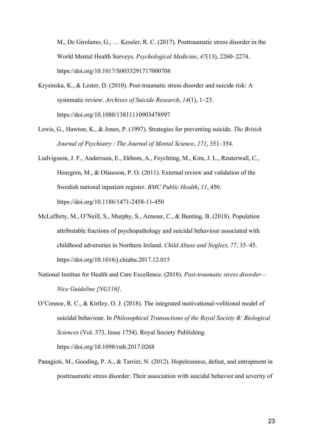M., De Girolamo, G., … Kessler, R. C. (2017). Posttraumatic stress disorder in the World Mental Health Surveys. *Psychological Medicine*, *47*(13), 2260–2274. https://doi.org/10.1017/S0033291717000708

- Krysinska, K., & Lester, D. (2010). Post-traumatic stress disorder and suicide risk: A systematic review. *Archives of Suicide Research*, *14*(1), 1–23. https://doi.org/10.1080/13811110903478997
- Lewis, G., Hawton, K., & Jones, P. (1997). Strategies for preventing suicide. *The British Journal of Psychiatry : The Journal of Mental Science*, *171*, 351–354.
- Ludvigsson, J. F., Andersson, E., Ekbom, A., Feychting, M., Kim, J. L., Reuterwall, C., Heurgren, M., & Olausson, P. O. (2011). External review and validation of the Swedish national inpatient register. *BMC Public Health*, *11*, 450. https://doi.org/10.1186/1471-2458-11-450
- McLafferty, M., O'Neill, S., Murphy, S., Armour, C., & Bunting, B. (2018). Population attributable fractions of psychopathology and suicidal behaviour associated with childhood adversities in Northern Ireland. *Child Abuse and Neglect*, *77*, 35–45. https://doi.org/10.1016/j.chiabu.2017.12.015
- National Institue for Health and Care Excellence. (2018). *Post-traumatic stress disorder— Nice Guideline [NG116]*.
- O'Connor, R. C., & Kirtley, O. J. (2018). The integrated motivational-volitional model of suicidal behaviour. In *Philosophical Transactions of the Royal Society B: Biological Sciences* (Vol. 373, Issue 1754). Royal Society Publishing. https://doi.org/10.1098/rstb.2017.0268
- Panagioti, M., Gooding, P. A., & Tarrier, N. (2012). Hopelessness, defeat, and entrapment in posttraumatic stress disorder: Their association with suicidal behavior and severity of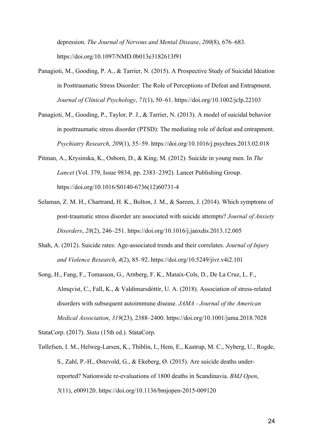depression. *The Journal of Nervous and Mental Disease*, *200*(8), 676–683. https://doi.org/10.1097/NMD.0b013e3182613f91

- Panagioti, M., Gooding, P. A., & Tarrier, N. (2015). A Prospective Study of Suicidal Ideation in Posttraumatic Stress Disorder: The Role of Perceptions of Defeat and Entrapment. *Journal of Clinical Psychology*, *71*(1), 50–61. https://doi.org/10.1002/jclp.22103
- Panagioti, M., Gooding, P., Taylor, P. J., & Tarrier, N. (2013). A model of suicidal behavior in posttraumatic stress disorder (PTSD): The mediating role of defeat and entrapment. *Psychiatry Research*, *209*(1), 55–59. https://doi.org/10.1016/j.psychres.2013.02.018
- Pitman, A., Krysinska, K., Osborn, D., & King, M. (2012). Suicide in young men. In *The Lancet* (Vol. 379, Issue 9834, pp. 2383–2392). Lancet Publishing Group. https://doi.org/10.1016/S0140-6736(12)60731-4
- Selaman, Z. M. H., Chartrand, H. K., Bolton, J. M., & Sareen, J. (2014). Which symptoms of post-traumatic stress disorder are associated with suicide attempts? *Journal of Anxiety Disorders*, *28*(2), 246–251. https://doi.org/10.1016/j.janxdis.2013.12.005
- Shah, A. (2012). Suicide rates: Age-associated trends and their correlates. *Journal of Injury and Violence Research*, *4*(2), 85–92. https://doi.org/10.5249/jivr.v4i2.101
- Song, H., Fang, F., Tomasson, G., Arnberg, F. K., Mataix-Cols, D., De La Cruz, L. F., Almqvist, C., Fall, K., & Valdimarsdóttir, U. A. (2018). Association of stress-related disorders with subsequent autoimmune disease. *JAMA - Journal of the American Medical Association*, *319*(23), 2388–2400. https://doi.org/10.1001/jama.2018.7028

StataCorp. (2017). *Stata* (15th ed.). StataCorp.

Tøllefsen, I. M., Helweg-Larsen, K., Thiblin, I., Hem, E., Kastrup, M. C., Nyberg, U., Rogde, S., Zahl, P.-H., Østevold, G., & Ekeberg, Ø. (2015). Are suicide deaths underreported? Nationwide re-evaluations of 1800 deaths in Scandinavia. *BMJ Open*, *5*(11), e009120. https://doi.org/10.1136/bmjopen-2015-009120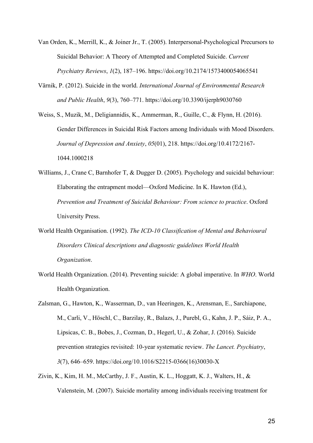Van Orden, K., Merrill, K., & Joiner Jr., T. (2005). Interpersonal-Psychological Precursors to Suicidal Behavior: A Theory of Attempted and Completed Suicide. *Current Psychiatry Reviews*, *1*(2), 187–196. https://doi.org/10.2174/1573400054065541

Värnik, P. (2012). Suicide in the world. *International Journal of Environmental Research and Public Health*, *9*(3), 760–771. https://doi.org/10.3390/ijerph9030760

Weiss, S., Muzik, M., Deligiannidis, K., Ammerman, R., Guille, C., & Flynn, H. (2016). Gender Differences in Suicidal Risk Factors among Individuals with Mood Disorders. *Journal of Depression and Anxiety*, *05*(01), 218. https://doi.org/10.4172/2167- 1044.1000218

Williams, J., Crane C, Barnhofer T, & Dugger D. (2005). Psychology and suicidal behaviour: Elaborating the entrapment model—Oxford Medicine. In K. Hawton (Ed.), *Prevention and Treatment of Suicidal Behaviour: From science to practice*. Oxford University Press.

- World Health Organisation. (1992). *The ICD-10 Classification of Mental and Behavioural Disorders Clinical descriptions and diagnostic guidelines World Health Organization*.
- World Health Organization. (2014). Preventing suicide: A global imperative. In *WHO*. World Health Organization.

Zalsman, G., Hawton, K., Wasserman, D., van Heeringen, K., Arensman, E., Sarchiapone, M., Carli, V., Höschl, C., Barzilay, R., Balazs, J., Purebl, G., Kahn, J. P., Sáiz, P. A., Lipsicas, C. B., Bobes, J., Cozman, D., Hegerl, U., & Zohar, J. (2016). Suicide prevention strategies revisited: 10-year systematic review. *The Lancet. Psychiatry*, *3*(7), 646–659. https://doi.org/10.1016/S2215-0366(16)30030-X

Zivin, K., Kim, H. M., McCarthy, J. F., Austin, K. L., Hoggatt, K. J., Walters, H., & Valenstein, M. (2007). Suicide mortality among individuals receiving treatment for